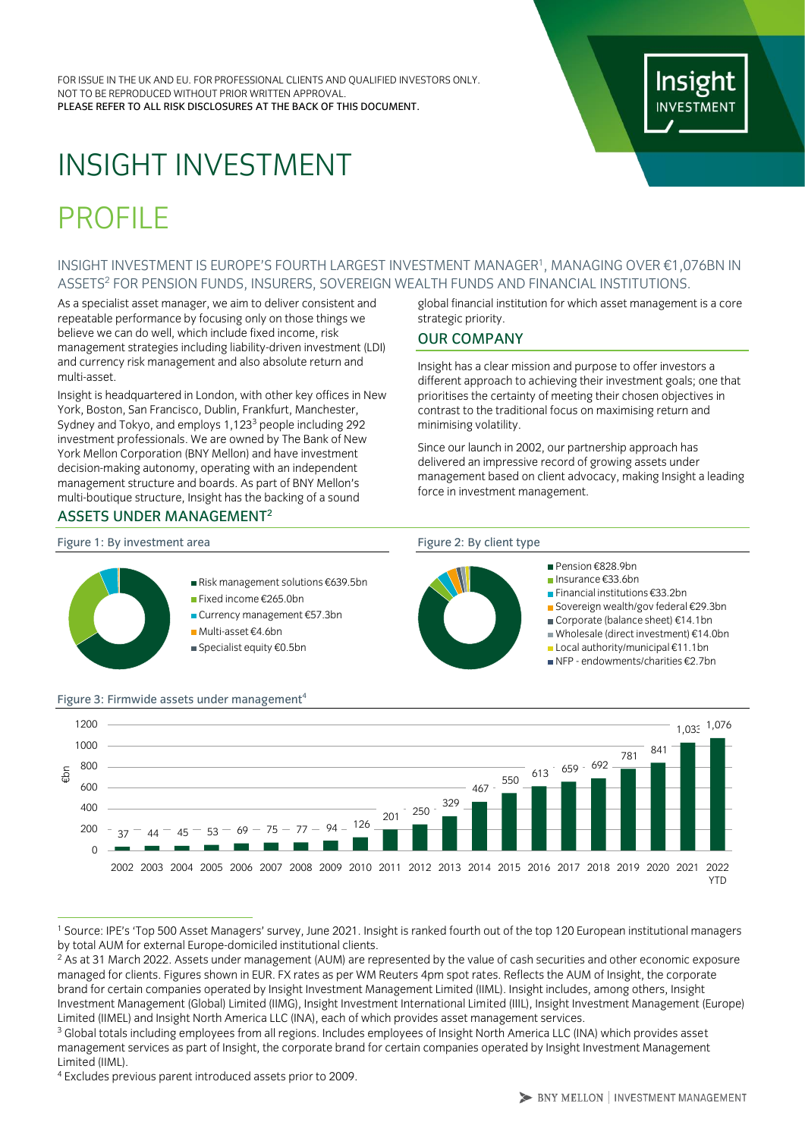FOR ISSUE IN THE UK AND EU. FOR PROFESSIONAL CLIENTS AND QUALIFIED INVESTORS ONLY. NOT TO BE REPRODUCED WITHOUT PRIOR WRITTEN APPROVAL. PLEASE REFER TO ALL RISK DISCLOSURES AT THE BACK OF THIS DOCUMENT.

# Insig

## INSIGHT INVESTMENT

### PROFILE

#### <span id="page-0-0"></span>INSIGHT INVESTMENT IS EUROPE'S FOURTH LARGEST INVESTMENT MANAGER<sup>1</sup> , MANAGING OVER €1,076BN IN ASSETS<sup>2</sup> FOR PENSION FUNDS, INSURERS, SOVEREIGN WEALTH FUNDS AND FINANCIAL INSTITUTIONS.

As a specialist asset manager, we aim to deliver consistent and repeatable performance by focusing only on those things we believe we can do well, which include fixed income, risk management strategies including liability-driven investment (LDI) and currency risk management and also absolute return and multi-asset.

Insight is headquartered in London, with other key offices in New York, Boston, San Francisco, Dublin, Frankfurt, Manchester, Sydney and Tokyo, and employs 1,123<sup>3</sup> people including 292 investment professionals. We are owned by The Bank of New York Mellon Corporation (BNY Mellon) and have investment decision-making autonomy, operating with an independent management structure and boards. As part of BNY Mellon's multi-boutique structure, Insight has the backing of a sound

#### ASSETS UNDER MANAGEMEN[T](#page-0-0)<sup>2</sup>

Figure 1: By investment area Figure 2: By client type

- Risk management solutions €639.5bn
- Fixed income €265.0bn
- Currency management €57.3bn
- Multi-asset €4.6bn
- Specialist equity €0.5bn

#### global financial institution for which asset management is a core strategic priority.

#### OUR COMPANY

Insight has a clear mission and purpose to offer investors a different approach to achieving their investment goals; one that prioritises the certainty of meeting their chosen objectives in contrast to the traditional focus on maximising return and minimising volatility.

Since our launch in 2002, our partnership approach has delivered an impressive record of growing assets under management based on client advocacy, making Insight a leading force in investment management.



- Pension £828.9hn
	- Insurance €33.6bn
	- Financial institutions €33.2bn
	- Sovereign wealth/gov federal €29.3bn
	- Corporate (balance sheet) €14.1bn Wholesale (direct investment) €14.0bn
	- Local authority/municipal €11.1bn
	- NFP endowments/charities €2.7bn



<sup>1</sup> Source: IPE's 'Top 500 Asset Managers' survey, June 2021. Insight is ranked fourth out of the top 120 European institutional managers by total AUM for external Europe-domiciled institutional clients.

<sup>&</sup>lt;sup>2</sup> As at 31 March 2022. Assets under management (AUM) are represented by the value of cash securities and other economic exposure managed for clients. Figures shown in EUR. FX rates as per WM Reuters 4pm spot rates. Reflects the AUM of Insight, the corporate brand for certain companies operated by Insight Investment Management Limited (IIML). Insight includes, among others, Insight Investment Management (Global) Limited (IIMG), Insight Investment International Limited (IIIL), Insight Investment Management (Europe) Limited (IIMEL) and Insight North America LLC (INA), each of which provides asset management services.

<sup>&</sup>lt;sup>3</sup> Global totals including employees from all regions. Includes employees of Insight North America LLC (INA) which provides asset management services as part of Insight, the corporate brand for certain companies operated by Insight Investment Management Limited (IIML).

<sup>4</sup> Excludes previous parent introduced assets prior to 2009.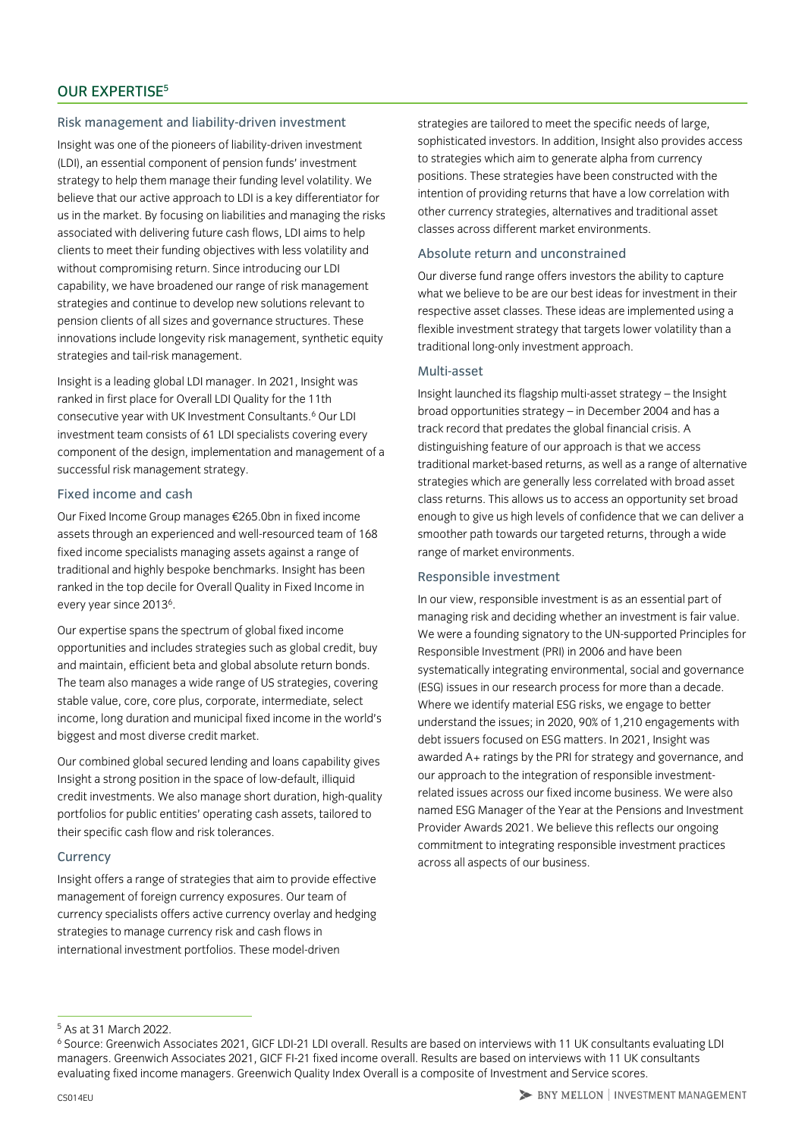#### Risk management and liability-driven investment

Insight was one of the pioneers of liability-driven investment (LDI), an essential component of pension funds' investment strategy to help them manage their funding level volatility. We believe that our active approach to LDI is a key differentiator for us in the market. By focusing on liabilities and managing the risks associated with delivering future cash flows, LDI aims to help clients to meet their funding objectives with less volatility and without compromising return. Since introducing our LDI capability, we have broadened our range of risk management strategies and continue to develop new solutions relevant to pension clients of all sizes and governance structures. These innovations include longevity risk management, synthetic equity strategies and tail-risk management.

Insight is a leading global LDI manager. In 2021, Insight was ranked in first place for Overall LDI Quality for the 11th consecutive year with UK Investment Consultants.<sup>6</sup> Our LDI investment team consists of 61 LDI specialists covering every component of the design, implementation and management of a successful risk management strategy.

#### Fixed income and cash

Our Fixed Income Group manages €265.0bn in fixed income assets through an experienced and well-resourced team of 168 fixed income specialists managing assets against a range of traditional and highly bespoke benchmarks. Insight has been ranked in the top decile for Overall Quality in Fixed Income in every year since 2013<sup>6</sup>.

Our expertise spans the spectrum of global fixed income opportunities and includes strategies such as global credit, buy and maintain, efficient beta and global absolute return bonds. The team also manages a wide range of US strategies, covering stable value, core, core plus, corporate, intermediate, select income, long duration and municipal fixed income in the world's biggest and most diverse credit market.

Our combined global secured lending and loans capability gives Insight a strong position in the space of low-default, illiquid credit investments. We also manage short duration, high-quality portfolios for public entities' operating cash assets, tailored to their specific cash flow and risk tolerances.

#### **Currency**

Insight offers a range of strategies that aim to provide effective management of foreign currency exposures. Our team of currency specialists offers active currency overlay and hedging strategies to manage currency risk and cash flows in international investment portfolios. These model-driven

strategies are tailored to meet the specific needs of large, sophisticated investors. In addition, Insight also provides access to strategies which aim to generate alpha from currency positions. These strategies have been constructed with the intention of providing returns that have a low correlation with other currency strategies, alternatives and traditional asset classes across different market environments.

#### Absolute return and unconstrained

Our diverse fund range offers investors the ability to capture what we believe to be are our best ideas for investment in their respective asset classes. These ideas are implemented using a flexible investment strategy that targets lower volatility than a traditional long-only investment approach.

#### Multi-asset

Insight launched its flagship multi-asset strategy – the Insight broad opportunities strategy – in December 2004 and has a track record that predates the global financial crisis. A distinguishing feature of our approach is that we access traditional market-based returns, as well as a range of alternative strategies which are generally less correlated with broad asset class returns. This allows us to access an opportunity set broad enough to give us high levels of confidence that we can deliver a smoother path towards our targeted returns, through a wide range of market environments.

#### Responsible investment

In our view, responsible investment is as an essential part of managing risk and deciding whether an investment is fair value. We were a founding signatory to the UN-supported Principles for Responsible Investment (PRI) in 2006 and have been systematically integrating environmental, social and governance (ESG) issues in our research process for more than a decade. Where we identify material ESG risks, we engage to better understand the issues; in 2020, 90% of 1,210 engagements with debt issuers focused on ESG matters. In 2021, Insight was awarded A+ ratings by the PRI for strategy and governance, and our approach to the integration of responsible investmentrelated issues across our fixed income business. We were also named ESG Manager of the Year at the Pensions and Investment Provider Awards 2021. We believe this reflects our ongoing commitment to integrating responsible investment practices across all aspects of our business.

<sup>5</sup> As at 31 March 2022.

<sup>6</sup> Source: Greenwich Associates 2021, GICF LDI-21 LDI overall. Results are based on interviews with 11 UK consultants evaluating LDI managers. Greenwich Associates 2021, GICF FI-21 fixed income overall. Results are based on interviews with 11 UK consultants evaluating fixed income managers. Greenwich Quality Index Overall is a composite of Investment and Service scores.